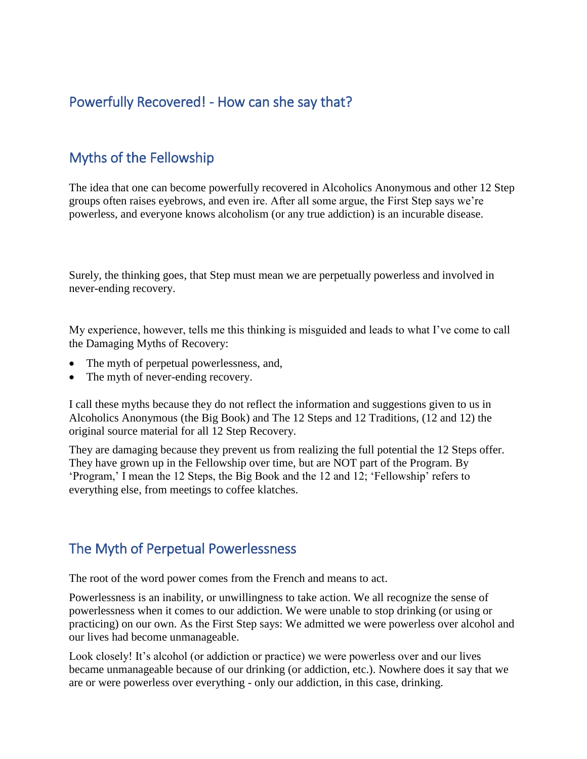## Powerfully Recovered! - How can she say that?

## Myths of the Fellowship

The idea that one can become powerfully recovered in Alcoholics Anonymous and other 12 Step groups often raises eyebrows, and even ire. After all some argue, the First Step says we're powerless, and everyone knows alcoholism (or any true addiction) is an incurable disease.

Surely, the thinking goes, that Step must mean we are perpetually powerless and involved in never-ending recovery.

My experience, however, tells me this thinking is misguided and leads to what I've come to call the Damaging Myths of Recovery:

- The myth of perpetual powerlessness, and,
- The myth of never-ending recovery.

I call these myths because they do not reflect the information and suggestions given to us in Alcoholics Anonymous (the Big Book) and The 12 Steps and 12 Traditions, (12 and 12) the original source material for all 12 Step Recovery.

They are damaging because they prevent us from realizing the full potential the 12 Steps offer. They have grown up in the Fellowship over time, but are NOT part of the Program. By 'Program,' I mean the 12 Steps, the Big Book and the 12 and 12; 'Fellowship' refers to everything else, from meetings to coffee klatches.

## The Myth of Perpetual Powerlessness

The root of the word power comes from the French and means to act.

Powerlessness is an inability, or unwillingness to take action. We all recognize the sense of powerlessness when it comes to our addiction. We were unable to stop drinking (or using or practicing) on our own. As the First Step says: We admitted we were powerless over alcohol and our lives had become unmanageable.

Look closely! It's alcohol (or addiction or practice) we were powerless over and our lives became unmanageable because of our drinking (or addiction, etc.). Nowhere does it say that we are or were powerless over everything - only our addiction, in this case, drinking.